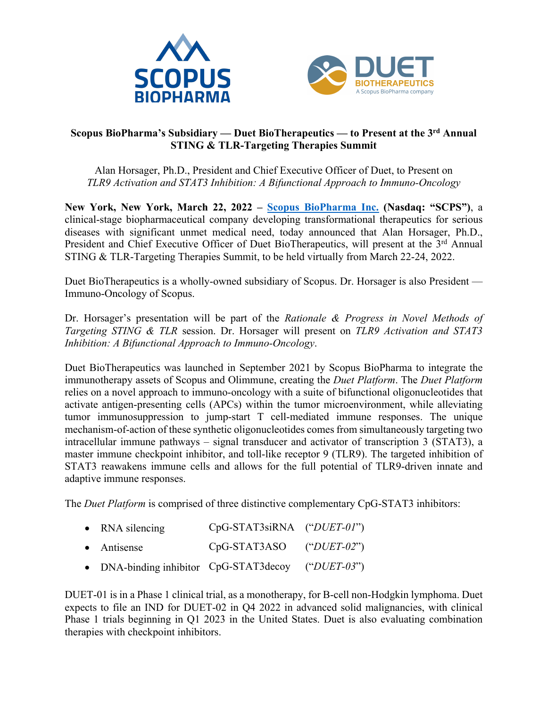



## **Scopus BioPharma's Subsidiary — Duet BioTherapeutics — to Present at the 3rd Annual STING & TLR-Targeting Therapies Summit**

Alan Horsager, Ph.D., President and Chief Executive Officer of Duet, to Present on *TLR9 Activation and STAT3 Inhibition: A Bifunctional Approach to Immuno-Oncology*

**New York, New York, March 22, 2022 – Scopus BioPharma Inc. (Nasdaq: "SCPS")**, a clinical-stage biopharmaceutical company developing transformational therapeutics for serious diseases with significant unmet medical need, today announced that Alan Horsager, Ph.D., President and Chief Executive Officer of Duet BioTherapeutics, will present at the 3<sup>rd</sup> Annual STING & TLR-Targeting Therapies Summit, to be held virtually from March 22-24, 2022.

Duet BioTherapeutics is a wholly-owned subsidiary of Scopus. Dr. Horsager is also President — Immuno-Oncology of Scopus.

Dr. Horsager's presentation will be part of the *Rationale & Progress in Novel Methods of Targeting STING & TLR* session. Dr. Horsager will present on *TLR9 Activation and STAT3 Inhibition: A Bifunctional Approach to Immuno-Oncology*.

Duet BioTherapeutics was launched in September 2021 by Scopus BioPharma to integrate the immunotherapy assets of Scopus and Olimmune, creating the *Duet Platform*. The *Duet Platform* relies on a novel approach to immuno-oncology with a suite of bifunctional oligonucleotides that activate antigen-presenting cells (APCs) within the tumor microenvironment, while alleviating tumor immunosuppression to jump-start T cell-mediated immune responses. The unique mechanism-of-action of these synthetic oligonucleotides comes from simultaneously targeting two intracellular immune pathways – signal transducer and activator of transcription 3 (STAT3), a master immune checkpoint inhibitor, and toll-like receptor 9 (TLR9). The targeted inhibition of STAT3 reawakens immune cells and allows for the full potential of TLR9-driven innate and adaptive immune responses.

The *Duet Platform* is comprised of three distinctive complementary CpG-STAT3 inhibitors:

- RNA silencing CpG-STAT3siRNA ("*DUET-01*")
- Antisense CpG-STAT3ASO ("*DUET-02*")
- DNA-binding inhibitor CpG-STAT3decoy ("*DUET-03*")

DUET-01 is in a Phase 1 clinical trial, as a monotherapy, for B-cell non-Hodgkin lymphoma. Duet expects to file an IND for DUET-02 in Q4 2022 in advanced solid malignancies, with clinical Phase 1 trials beginning in Q1 2023 in the United States. Duet is also evaluating combination therapies with checkpoint inhibitors.